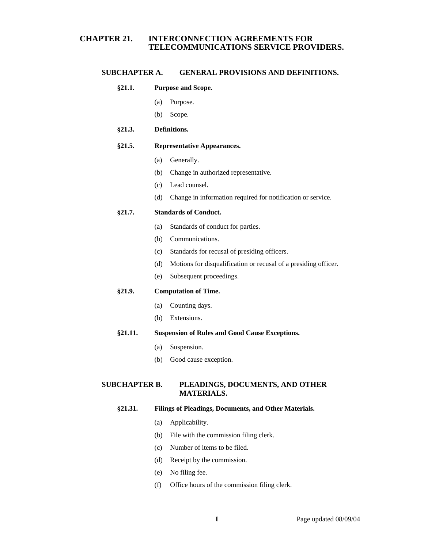# **CHAPTER 21. INTERCONNECTION AGREEMENTS FOR TELECOMMUNICATIONS SERVICE PROVIDERS.**

## **SUBCHAPTER A. GENERAL PROVISIONS AND DEFINITIONS.**

## **§21.1. Purpose and Scope.**

- (a) Purpose.
- (b) Scope.

## **§21.3. Definitions.**

## **§21.5. Representative Appearances.**

- (a) Generally.
- (b) Change in authorized representative.
- (c) Lead counsel.
- (d) Change in information required for notification or service.

### **§21.7. Standards of Conduct.**

- (a) Standards of conduct for parties.
- (b) Communications.
- (c) Standards for recusal of presiding officers.
- (d) Motions for disqualification or recusal of a presiding officer.
- (e) Subsequent proceedings.

## **§21.9. Computation of Time.**

- (a) Counting days.
- (b) Extensions.

## **§21.11. Suspension of Rules and Good Cause Exceptions.**

- (a) Suspension.
- (b) Good cause exception.

# **SUBCHAPTER B. PLEADINGS, DOCUMENTS, AND OTHER MATERIALS.**

### **§21.31. Filings of Pleadings, Documents, and Other Materials.**

- (a) Applicability.
- (b) File with the commission filing clerk.
- (c) Number of items to be filed.
- (d) Receipt by the commission.
- (e) No filing fee.
- (f) Office hours of the commission filing clerk.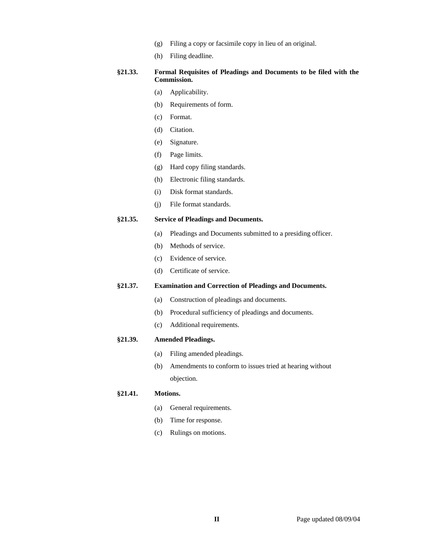- (g) Filing a copy or facsimile copy in lieu of an original.
- (h) Filing deadline.

## **§21.33. Formal Requisites of Pleadings and Documents to be filed with the Commission.**

- (a) Applicability.
- (b) Requirements of form.
- (c) Format.
- (d) Citation.
- (e) Signature.
- (f) Page limits.
- (g) Hard copy filing standards.
- (h) Electronic filing standards.
- (i) Disk format standards.
- (j) File format standards.

#### **§21.35. Service of Pleadings and Documents.**

- (a) Pleadings and Documents submitted to a presiding officer.
- (b) Methods of service.
- (c) Evidence of service.
- (d) Certificate of service.

### **§21.37. Examination and Correction of Pleadings and Documents.**

- (a) Construction of pleadings and documents.
- (b) Procedural sufficiency of pleadings and documents.
- (c) Additional requirements.

#### **§21.39. Amended Pleadings.**

- (a) Filing amended pleadings.
- (b) Amendments to conform to issues tried at hearing without objection.

#### **§21.41. Motions.**

- (a) General requirements.
- (b) Time for response.
- (c) Rulings on motions.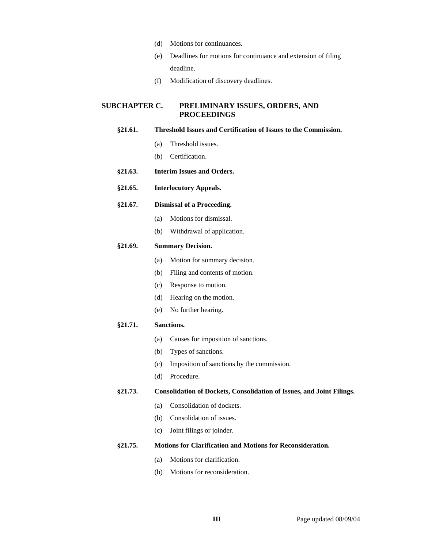- (d) Motions for continuances.
- (e) Deadlines for motions for continuance and extension of filing deadline.
- (f) Modification of discovery deadlines.

## **SUBCHAPTER C. PRELIMINARY ISSUES, ORDERS, AND PROCEEDINGS**

#### **§21.61. Threshold Issues and Certification of Issues to the Commission.**

- (a) Threshold issues.
- (b) Certification.
- **§21.63. Interim Issues and Orders.**
- **§21.65. Interlocutory Appeals.**

#### **§21.67. Dismissal of a Proceeding.**

- (a) Motions for dismissal.
- (b) Withdrawal of application.

#### **§21.69. Summary Decision.**

- (a) Motion for summary decision.
- (b) Filing and contents of motion.
- (c) Response to motion.
- (d) Hearing on the motion.
- (e) No further hearing.

### **§21.71. Sanctions.**

- (a) Causes for imposition of sanctions.
- (b) Types of sanctions.
- (c) Imposition of sanctions by the commission.
- (d) Procedure.

#### **§21.73. Consolidation of Dockets, Consolidation of Issues, and Joint Filings.**

- (a) Consolidation of dockets.
- (b) Consolidation of issues.
- (c) Joint filings or joinder.

## **§21.75. Motions for Clarification and Motions for Reconsideration.**

- (a) Motions for clarification.
- (b) Motions for reconsideration.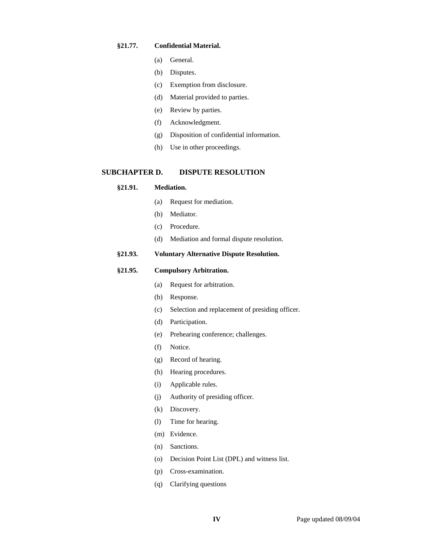## **§21.77. Confidential Material.**

- (a) General.
- (b) Disputes.
- (c) Exemption from disclosure.
- (d) Material provided to parties.
- (e) Review by parties.
- (f) Acknowledgment.
- (g) Disposition of confidential information.
- (h) Use in other proceedings.

## **SUBCHAPTER D. DISPUTE RESOLUTION**

## **§21.91. Mediation.**

- (a) Request for mediation.
- (b) Mediator.
- (c) Procedure.
- (d) Mediation and formal dispute resolution.

### **§21.93. Voluntary Alternative Dispute Resolution.**

## **§21.95. Compulsory Arbitration.**

- (a) Request for arbitration.
- (b) Response.
- (c) Selection and replacement of presiding officer.
- (d) Participation.
- (e) Prehearing conference; challenges.
- (f) Notice.
- (g) Record of hearing.
- (h) Hearing procedures.
- (i) Applicable rules.
- (j) Authority of presiding officer.
- (k) Discovery.
- (l) Time for hearing.
- (m) Evidence.
- (n) Sanctions.
- (o) Decision Point List (DPL) and witness list.
- (p) Cross-examination.
- (q) Clarifying questions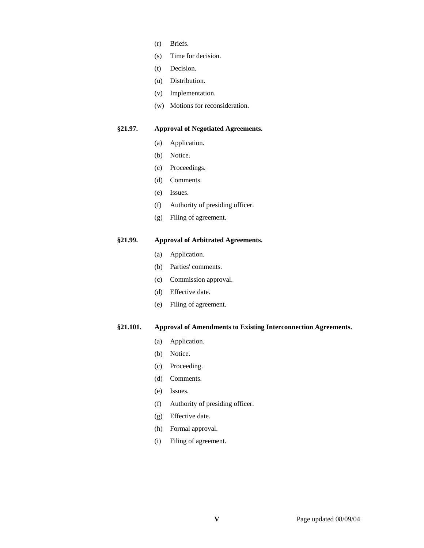- (r) Briefs.
- (s) Time for decision.
- (t) Decision.
- (u) Distribution.
- (v) Implementation.
- (w) Motions for reconsideration.

## **§21.97. Approval of Negotiated Agreements.**

- (a) Application.
- (b) Notice.
- (c) Proceedings.
- (d) Comments.
- (e) Issues.
- (f) Authority of presiding officer.
- (g) Filing of agreement.

# **§21.99. Approval of Arbitrated Agreements.**

- (a) Application.
- (b) Parties' comments.
- (c) Commission approval.
- (d) Effective date.
- (e) Filing of agreement.

## **§21.101. Approval of Amendments to Existing Interconnection Agreements.**

- (a) Application.
- (b) Notice.
- (c) Proceeding.
- (d) Comments.
- (e) Issues.
- (f) Authority of presiding officer.
- (g) Effective date.
- (h) Formal approval.
- (i) Filing of agreement.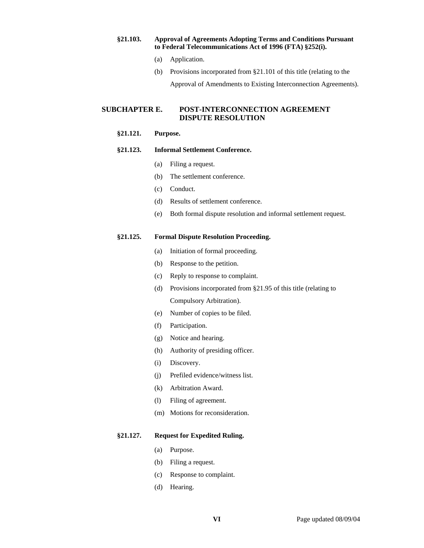#### **§21.103. Approval of Agreements Adopting Terms and Conditions Pursuant to Federal Telecommunications Act of 1996 (FTA) §252(i).**

- (a) Application.
- (b) Provisions incorporated from §21.101 of this title (relating to the

Approval of Amendments to Existing Interconnection Agreements).

## **SUBCHAPTER E. POST-INTERCONNECTION AGREEMENT DISPUTE RESOLUTION**

### **§21.121. Purpose.**

#### **§21.123. Informal Settlement Conference.**

- (a) Filing a request.
- (b) The settlement conference.
- (c) Conduct.
- (d) Results of settlement conference.
- (e) Both formal dispute resolution and informal settlement request.

### **§21.125. Formal Dispute Resolution Proceeding.**

- (a) Initiation of formal proceeding.
- (b) Response to the petition.
- (c) Reply to response to complaint.
- (d) Provisions incorporated from §21.95 of this title (relating to Compulsory Arbitration).
- (e) Number of copies to be filed.
- (f) Participation.
- (g) Notice and hearing.
- (h) Authority of presiding officer.
- (i) Discovery.
- (j) Prefiled evidence/witness list.
- (k) Arbitration Award.
- (l) Filing of agreement.
- (m) Motions for reconsideration.

## **§21.127. Request for Expedited Ruling.**

- (a) Purpose.
- (b) Filing a request.
- (c) Response to complaint.
- (d) Hearing.